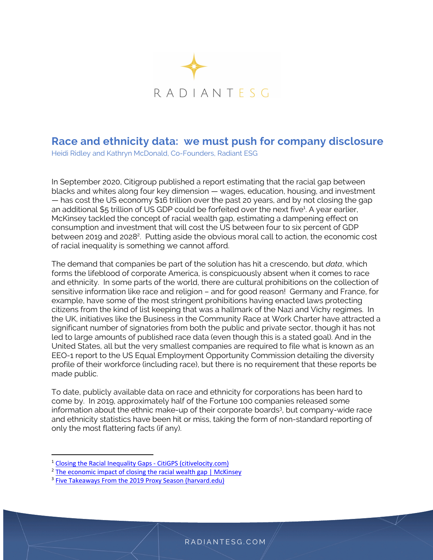

## **Race and ethnicity data: we must push for company disclosure**

Heidi Ridley and Kathryn McDonald, Co-Founders, Radiant ESG

In September 2020, Citigroup published a report estimating that the racial gap between blacks and whites along four key dimension — wages, education, housing, and investment — has cost the US economy \$16 trillion over the past 20 years, and by not closing the gap an additional \$5 trillion of US GDP could be forfeited over the next five<sup>1</sup>. A year earlier, McKinsey tackled the concept of racial wealth gap, estimating a dampening effect on consumption and investment that will cost the US between four to six percent of GDP between 2019 and 2028<sup>2</sup>. Putting aside the obvious moral call to action, the economic cost of racial inequality is something we cannot afford.

The demand that companies be part of the solution has hit a crescendo, but *data*, which forms the lifeblood of corporate America, is conspicuously absent when it comes to race and ethnicity. In some parts of the world, there are cultural prohibitions on the collection of sensitive information like race and religion – and for good reason! Germany and France, for example, have some of the most stringent prohibitions having enacted laws protecting citizens from the kind of list keeping that was a hallmark of the Nazi and Vichy regimes. In the UK, initiatives like the Business in the Community Race at Work Charter have attracted a significant number of signatories from both the public and private sector, though it has not led to large amounts of published race data (even though this is a stated goal). And in the United States, all but the very smallest companies are required to file what is known as an EEO-1 report to the US Equal Employment Opportunity Commission detailing the diversity profile of their workforce (including race), but there is no requirement that these reports be made public.

To date, publicly available data on race and ethnicity for corporations has been hard to come by. In 2019, approximately half of the Fortune 100 companies released some information about the ethnic make-up of their corporate boards<sup>3</sup>, but company-wide race and ethnicity statistics have been hit or miss, taking the form of non-standard reporting of only the most flattering facts (if any).

<sup>&</sup>lt;sup>1</sup> Closing the Racial Inequality Gaps - CitiGPS (citivelocity.com)

<sup>&</sup>lt;sup>2</sup> The economic impact of closing the racial wealth gap | McKinsey

<sup>&</sup>lt;sup>3</sup> Five Takeaways From the 2019 Proxy Season (harvard.edu)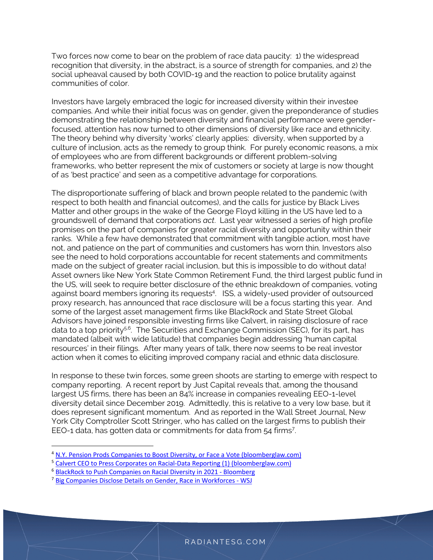Two forces now come to bear on the problem of race data paucity: 1) the widespread recognition that diversity, in the abstract, is a source of strength for companies, and 2) the social upheaval caused by both COVID-19 and the reaction to police brutality against communities of color.

Investors have largely embraced the logic for increased diversity within their investee companies. And while their initial focus was on gender, given the preponderance of studies demonstrating the relationship between diversity and financial performance were genderfocused, attention has now turned to other dimensions of diversity like race and ethnicity. The theory behind why diversity 'works' clearly applies: diversity, when supported by a culture of inclusion, acts as the remedy to group think. For purely economic reasons, a mix of employees who are from different backgrounds or different problem-solving frameworks, who better represent the mix of customers or society at large is now thought of as 'best practice' and seen as a competitive advantage for corporations.

The disproportionate suffering of black and brown people related to the pandemic (with respect to both health and financial outcomes), and the calls for justice by Black Lives Matter and other groups in the wake of the George Floyd killing in the US have led to a groundswell of demand that corporations *act*. Last year witnessed a series of high profile promises on the part of companies for greater racial diversity and opportunity within their ranks. While a few have demonstrated that commitment with tangible action, most have not, and patience on the part of communities and customers has worn thin. Investors also see the need to hold corporations accountable for recent statements and commitments made on the subject of greater racial inclusion, but this is impossible to do without data! Asset owners like New York State Common Retirement Fund, the third largest public fund in the US, will seek to require better disclosure of the ethnic breakdown of companies, voting against board members ignoring its requests4 . ISS, a widely-used provider of outsourced proxy research, has announced that race disclosure will be a focus starting this year. And some of the largest asset management firms like BlackRock and State Street Global Advisors have joined responsible investing firms like Calvert, in raising disclosure of race data to a top priority<sup>5,6</sup>. The Securities and Exchange Commission (SEC), for its part, has mandated (albeit with wide latitude) that companies begin addressing 'human capital resources' in their filings. After many years of talk, there now seems to be real investor action when it comes to eliciting improved company racial and ethnic data disclosure.

In response to these twin forces, some green shoots are starting to emerge with respect to company reporting. A recent report by Just Capital reveals that, among the thousand largest US firms, there has been an 84% increase in companies revealing EEO-1-level diversity detail since December 2019. Admittedly, this is relative to a very low base, but it does represent significant momentum. And as reported in the Wall Street Journal, New York City Comptroller Scott Stringer, who has called on the largest firms to publish their EEO-1 data, has gotten data or commitments for data from 54 firms<sup>7</sup>.

<sup>&</sup>lt;sup>4</sup> N.Y. Pension Prods Companies to Boost Diversity, or Face a Vote (bloomberglaw.com)

<sup>&</sup>lt;sup>5</sup> Calvert CEO to Press Corporates on Racial-Data Reporting (1) (bloomberglaw.com)

<sup>6</sup> BlackRock to Push Companies on Racial Diversity in 2021 - Bloomberg

<sup>7</sup> Big Companies Disclose Details on Gender, Race in Workforces - WSJ